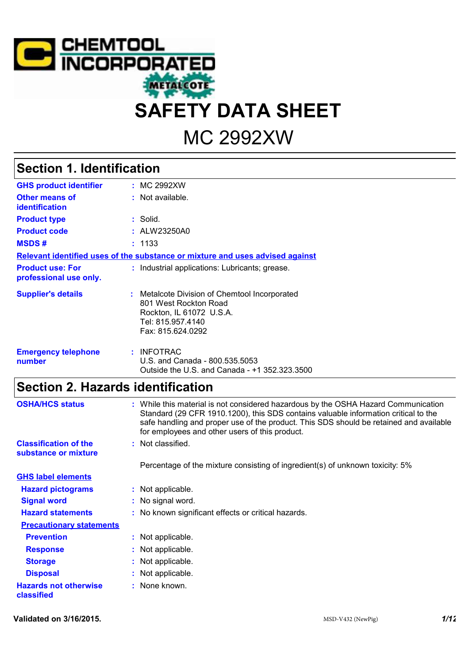

# MC 2992XW

# **Section 1. Identification**

| <b>GHS product identifier</b>                     | : MC 2992XW                                                                                                                                  |
|---------------------------------------------------|----------------------------------------------------------------------------------------------------------------------------------------------|
| Other means of<br><b>identification</b>           | : Not available.                                                                                                                             |
| <b>Product type</b>                               | $:$ Solid.                                                                                                                                   |
| <b>Product code</b>                               | : ALW23250A0                                                                                                                                 |
| <b>MSDS#</b>                                      | : 1133                                                                                                                                       |
|                                                   | Relevant identified uses of the substance or mixture and uses advised against                                                                |
| <b>Product use: For</b><br>professional use only. | : Industrial applications: Lubricants; grease.                                                                                               |
| <b>Supplier's details</b>                         | : Metalcote Division of Chemtool Incorporated<br>801 West Rockton Road<br>Rockton, IL 61072 U.S.A.<br>Tel: 815.957.4140<br>Fax: 815.624.0292 |
| <b>Emergency telephone</b><br>number              | : INFOTRAC<br>U.S. and Canada - 800.535.5053<br>Outside the U.S. and Canada - +1 352.323.3500                                                |

# **Section 2. Hazards identification**

| <b>OSHA/HCS status</b>                     | : While this material is not considered hazardous by the OSHA Hazard Communication<br>Standard (29 CFR 1910.1200), this SDS contains valuable information critical to the<br>safe handling and proper use of the product. This SDS should be retained and available<br>for employees and other users of this product. |
|--------------------------------------------|-----------------------------------------------------------------------------------------------------------------------------------------------------------------------------------------------------------------------------------------------------------------------------------------------------------------------|
| <b>Classification of the</b>               | : Not classified.                                                                                                                                                                                                                                                                                                     |
| substance or mixture                       |                                                                                                                                                                                                                                                                                                                       |
|                                            | Percentage of the mixture consisting of ingredient(s) of unknown toxicity: 5%                                                                                                                                                                                                                                         |
| <b>GHS label elements</b>                  |                                                                                                                                                                                                                                                                                                                       |
| <b>Hazard pictograms</b>                   | : Not applicable.                                                                                                                                                                                                                                                                                                     |
| <b>Signal word</b>                         | : No signal word.                                                                                                                                                                                                                                                                                                     |
| <b>Hazard statements</b>                   | : No known significant effects or critical hazards.                                                                                                                                                                                                                                                                   |
| <b>Precautionary statements</b>            |                                                                                                                                                                                                                                                                                                                       |
| <b>Prevention</b>                          | : Not applicable.                                                                                                                                                                                                                                                                                                     |
| <b>Response</b>                            | : Not applicable.                                                                                                                                                                                                                                                                                                     |
| <b>Storage</b>                             | : Not applicable.                                                                                                                                                                                                                                                                                                     |
| <b>Disposal</b>                            | : Not applicable.                                                                                                                                                                                                                                                                                                     |
| <b>Hazards not otherwise</b><br>classified | : None known.                                                                                                                                                                                                                                                                                                         |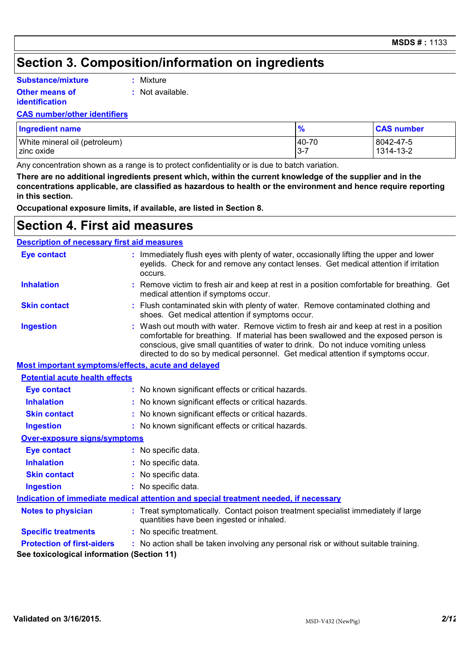## **Section 3. Composition/information on ingredients**

#### **Substance/mixture**

#### **Other means of**

**:** Mixture

**identification**

**:** Not available.

#### **CAS number/other identifiers**

| <b>Ingredient name</b>        | $\frac{9}{6}$ | <b>CAS number</b> |
|-------------------------------|---------------|-------------------|
| White mineral oil (petroleum) | 40-70         | 8042-47-5         |
| zinc oxide                    | $3 - 7$       | 1314-13-2         |

Any concentration shown as a range is to protect confidentiality or is due to batch variation.

**There are no additional ingredients present which, within the current knowledge of the supplier and in the concentrations applicable, are classified as hazardous to health or the environment and hence require reporting in this section.**

**Occupational exposure limits, if available, are listed in Section 8.**

### **Section 4. First aid measures**

#### **Description of necessary first aid measures**

| <b>Eye contact</b>                                 | : Immediately flush eyes with plenty of water, occasionally lifting the upper and lower<br>eyelids. Check for and remove any contact lenses. Get medical attention if irritation<br>occurs.                                                                                                                                                            |
|----------------------------------------------------|--------------------------------------------------------------------------------------------------------------------------------------------------------------------------------------------------------------------------------------------------------------------------------------------------------------------------------------------------------|
| <b>Inhalation</b>                                  | : Remove victim to fresh air and keep at rest in a position comfortable for breathing. Get<br>medical attention if symptoms occur.                                                                                                                                                                                                                     |
| <b>Skin contact</b>                                | : Flush contaminated skin with plenty of water. Remove contaminated clothing and<br>shoes. Get medical attention if symptoms occur.                                                                                                                                                                                                                    |
| <b>Ingestion</b>                                   | : Wash out mouth with water. Remove victim to fresh air and keep at rest in a position<br>comfortable for breathing. If material has been swallowed and the exposed person is<br>conscious, give small quantities of water to drink. Do not induce vomiting unless<br>directed to do so by medical personnel. Get medical attention if symptoms occur. |
| Most important symptoms/effects, acute and delayed |                                                                                                                                                                                                                                                                                                                                                        |
| <b>Potential acute health effects</b>              |                                                                                                                                                                                                                                                                                                                                                        |
| <b>Eye contact</b>                                 | : No known significant effects or critical hazards.                                                                                                                                                                                                                                                                                                    |
| <b>Inhalation</b>                                  | : No known significant effects or critical hazards.                                                                                                                                                                                                                                                                                                    |
| <b>Skin contact</b>                                | : No known significant effects or critical hazards.                                                                                                                                                                                                                                                                                                    |
| <b>Ingestion</b>                                   | : No known significant effects or critical hazards.                                                                                                                                                                                                                                                                                                    |
| Over-exposure signs/symptoms                       |                                                                                                                                                                                                                                                                                                                                                        |
| <b>Eye contact</b>                                 | : No specific data.                                                                                                                                                                                                                                                                                                                                    |
| <b>Inhalation</b>                                  | : No specific data.                                                                                                                                                                                                                                                                                                                                    |
| <b>Skin contact</b>                                | : No specific data.                                                                                                                                                                                                                                                                                                                                    |
| <b>Ingestion</b>                                   | : No specific data.                                                                                                                                                                                                                                                                                                                                    |
|                                                    | Indication of immediate medical attention and special treatment needed, if necessary                                                                                                                                                                                                                                                                   |
| <b>Notes to physician</b>                          | : Treat symptomatically. Contact poison treatment specialist immediately if large<br>quantities have been ingested or inhaled.                                                                                                                                                                                                                         |
| <b>Specific treatments</b>                         | : No specific treatment.                                                                                                                                                                                                                                                                                                                               |
| <b>Protection of first-aiders</b>                  | : No action shall be taken involving any personal risk or without suitable training.                                                                                                                                                                                                                                                                   |
| See toxicological information (Section 11)         |                                                                                                                                                                                                                                                                                                                                                        |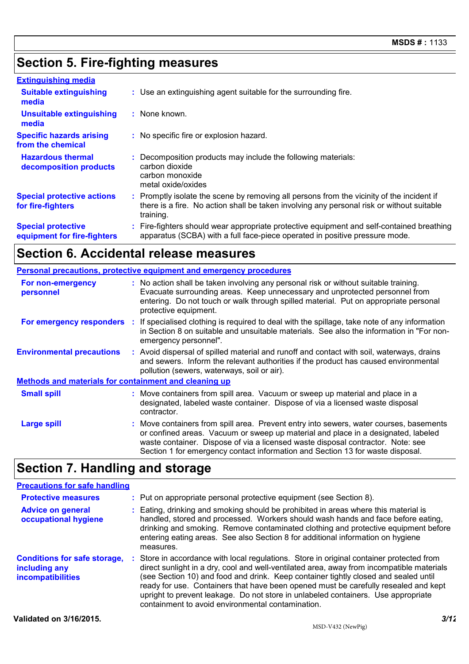## **Section 5. Fire-fighting measures**

| <b>Extinguishing media</b>                               |                                                                                                                                                                                                     |  |
|----------------------------------------------------------|-----------------------------------------------------------------------------------------------------------------------------------------------------------------------------------------------------|--|
| <b>Suitable extinguishing</b><br>media                   | : Use an extinguishing agent suitable for the surrounding fire.                                                                                                                                     |  |
| <b>Unsuitable extinguishing</b><br>media                 | : None known.                                                                                                                                                                                       |  |
| <b>Specific hazards arising</b><br>from the chemical     | : No specific fire or explosion hazard.                                                                                                                                                             |  |
| <b>Hazardous thermal</b><br>decomposition products       | : Decomposition products may include the following materials:<br>carbon dioxide<br>carbon monoxide<br>metal oxide/oxides                                                                            |  |
| <b>Special protective actions</b><br>for fire-fighters   | : Promptly isolate the scene by removing all persons from the vicinity of the incident if<br>there is a fire. No action shall be taken involving any personal risk or without suitable<br>training. |  |
| <b>Special protective</b><br>equipment for fire-fighters | : Fire-fighters should wear appropriate protective equipment and self-contained breathing<br>apparatus (SCBA) with a full face-piece operated in positive pressure mode.                            |  |

# **Section 6. Accidental release measures**

|                                                              | <b>Personal precautions, protective equipment and emergency procedures</b>                                                                                                                                                                                                                                                                       |
|--------------------------------------------------------------|--------------------------------------------------------------------------------------------------------------------------------------------------------------------------------------------------------------------------------------------------------------------------------------------------------------------------------------------------|
| For non-emergency<br>personnel                               | : No action shall be taken involving any personal risk or without suitable training.<br>Evacuate surrounding areas. Keep unnecessary and unprotected personnel from<br>entering. Do not touch or walk through spilled material. Put on appropriate personal<br>protective equipment.                                                             |
| <b>For emergency responders :</b>                            | If specialised clothing is required to deal with the spillage, take note of any information<br>in Section 8 on suitable and unsuitable materials. See also the information in "For non-<br>emergency personnel".                                                                                                                                 |
| <b>Environmental precautions</b>                             | : Avoid dispersal of spilled material and runoff and contact with soil, waterways, drains<br>and sewers. Inform the relevant authorities if the product has caused environmental<br>pollution (sewers, waterways, soil or air).                                                                                                                  |
| <b>Methods and materials for containment and cleaning up</b> |                                                                                                                                                                                                                                                                                                                                                  |
| <b>Small spill</b>                                           | : Move containers from spill area. Vacuum or sweep up material and place in a<br>designated, labeled waste container. Dispose of via a licensed waste disposal<br>contractor.                                                                                                                                                                    |
| <b>Large spill</b>                                           | : Move containers from spill area. Prevent entry into sewers, water courses, basements<br>or confined areas. Vacuum or sweep up material and place in a designated, labeled<br>waste container. Dispose of via a licensed waste disposal contractor. Note: see<br>Section 1 for emergency contact information and Section 13 for waste disposal. |
|                                                              |                                                                                                                                                                                                                                                                                                                                                  |

### **Section 7. Handling and storage**

#### **Precautions for safe handling**

| <b>Protective measures</b>                                                       | : Put on appropriate personal protective equipment (see Section 8).                                                                                                                                                                                                                                                                                                                                                                                                                                           |
|----------------------------------------------------------------------------------|---------------------------------------------------------------------------------------------------------------------------------------------------------------------------------------------------------------------------------------------------------------------------------------------------------------------------------------------------------------------------------------------------------------------------------------------------------------------------------------------------------------|
| <b>Advice on general</b><br>occupational hygiene                                 | : Eating, drinking and smoking should be prohibited in areas where this material is<br>handled, stored and processed. Workers should wash hands and face before eating,<br>drinking and smoking. Remove contaminated clothing and protective equipment before<br>entering eating areas. See also Section 8 for additional information on hygiene<br>measures.                                                                                                                                                 |
| <b>Conditions for safe storage,</b><br>including any<br><b>incompatibilities</b> | : Store in accordance with local regulations. Store in original container protected from<br>direct sunlight in a dry, cool and well-ventilated area, away from incompatible materials<br>(see Section 10) and food and drink. Keep container tightly closed and sealed until<br>ready for use. Containers that have been opened must be carefully resealed and kept<br>upright to prevent leakage. Do not store in unlabeled containers. Use appropriate<br>containment to avoid environmental contamination. |
| Validated on 3/16/2015.                                                          | 3/12                                                                                                                                                                                                                                                                                                                                                                                                                                                                                                          |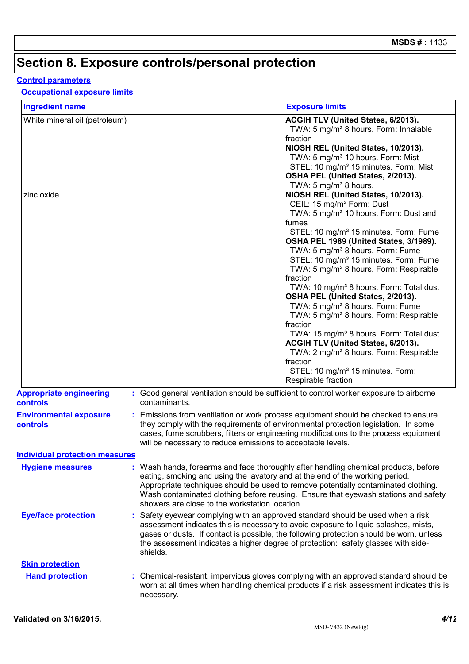# **Section 8. Exposure controls/personal protection**

### **Control parameters**

#### **Occupational exposure limits**

| <b>Ingredient name</b>                            |                                                                                                                                | <b>Exposure limits</b>                                                                                                                                                                                                                                                                                                                                                                                                                                                                                                                                                                                                                                                                                                                                                  |
|---------------------------------------------------|--------------------------------------------------------------------------------------------------------------------------------|-------------------------------------------------------------------------------------------------------------------------------------------------------------------------------------------------------------------------------------------------------------------------------------------------------------------------------------------------------------------------------------------------------------------------------------------------------------------------------------------------------------------------------------------------------------------------------------------------------------------------------------------------------------------------------------------------------------------------------------------------------------------------|
| White mineral oil (petroleum)                     |                                                                                                                                | ACGIH TLV (United States, 6/2013).<br>TWA: 5 mg/m <sup>3</sup> 8 hours. Form: Inhalable<br>fraction<br>NIOSH REL (United States, 10/2013).<br>TWA: 5 mg/m <sup>3</sup> 10 hours. Form: Mist<br>STEL: 10 mg/m <sup>3</sup> 15 minutes. Form: Mist<br>OSHA PEL (United States, 2/2013).                                                                                                                                                                                                                                                                                                                                                                                                                                                                                   |
| zinc oxide                                        |                                                                                                                                | TWA: 5 mg/m <sup>3</sup> 8 hours.<br>NIOSH REL (United States, 10/2013).<br>CEIL: 15 mg/m <sup>3</sup> Form: Dust<br>TWA: 5 mg/m <sup>3</sup> 10 hours. Form: Dust and<br>fumes<br>STEL: 10 mg/m <sup>3</sup> 15 minutes. Form: Fume<br>OSHA PEL 1989 (United States, 3/1989).<br>TWA: 5 mg/m <sup>3</sup> 8 hours. Form: Fume<br>STEL: 10 mg/m <sup>3</sup> 15 minutes. Form: Fume<br>TWA: 5 mg/m <sup>3</sup> 8 hours. Form: Respirable<br>fraction<br>TWA: 10 mg/m <sup>3</sup> 8 hours. Form: Total dust<br>OSHA PEL (United States, 2/2013).<br>TWA: 5 mg/m <sup>3</sup> 8 hours. Form: Fume<br>TWA: 5 mg/m <sup>3</sup> 8 hours. Form: Respirable<br>fraction<br>TWA: 15 mg/m <sup>3</sup> 8 hours. Form: Total dust<br><b>ACGIH TLV (United States, 6/2013).</b> |
|                                                   |                                                                                                                                | TWA: 2 mg/m <sup>3</sup> 8 hours. Form: Respirable<br>fraction<br>STEL: 10 mg/m <sup>3</sup> 15 minutes. Form:<br>Respirable fraction                                                                                                                                                                                                                                                                                                                                                                                                                                                                                                                                                                                                                                   |
| <b>Appropriate engineering</b><br><b>controls</b> | contaminants.                                                                                                                  | : Good general ventilation should be sufficient to control worker exposure to airborne                                                                                                                                                                                                                                                                                                                                                                                                                                                                                                                                                                                                                                                                                  |
| <b>Environmental exposure</b><br><b>controls</b>  | will be necessary to reduce emissions to acceptable levels.                                                                    | : Emissions from ventilation or work process equipment should be checked to ensure<br>they comply with the requirements of environmental protection legislation. In some<br>cases, fume scrubbers, filters or engineering modifications to the process equipment                                                                                                                                                                                                                                                                                                                                                                                                                                                                                                        |
| <b>Individual protection measures</b>             |                                                                                                                                |                                                                                                                                                                                                                                                                                                                                                                                                                                                                                                                                                                                                                                                                                                                                                                         |
| <b>Hygiene measures</b>                           | eating, smoking and using the lavatory and at the end of the working period.<br>showers are close to the workstation location. | : Wash hands, forearms and face thoroughly after handling chemical products, before<br>Appropriate techniques should be used to remove potentially contaminated clothing.<br>Wash contaminated clothing before reusing. Ensure that eyewash stations and safety                                                                                                                                                                                                                                                                                                                                                                                                                                                                                                         |
| <b>Eye/face protection</b>                        | : Safety eyewear complying with an approved standard should be used when a risk<br>shields.                                    | assessment indicates this is necessary to avoid exposure to liquid splashes, mists,<br>gases or dusts. If contact is possible, the following protection should be worn, unless<br>the assessment indicates a higher degree of protection: safety glasses with side-                                                                                                                                                                                                                                                                                                                                                                                                                                                                                                     |
| <b>Skin protection</b>                            |                                                                                                                                |                                                                                                                                                                                                                                                                                                                                                                                                                                                                                                                                                                                                                                                                                                                                                                         |
| <b>Hand protection</b>                            | necessary.                                                                                                                     | : Chemical-resistant, impervious gloves complying with an approved standard should be<br>worn at all times when handling chemical products if a risk assessment indicates this is                                                                                                                                                                                                                                                                                                                                                                                                                                                                                                                                                                                       |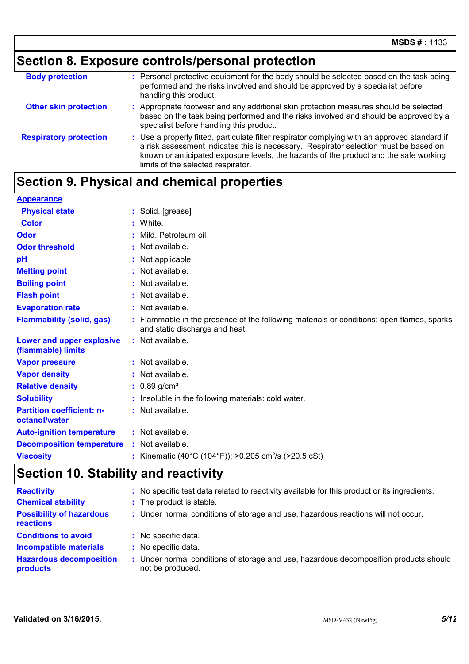# **Section 8. Exposure controls/personal protection**

| <b>Body protection</b>        | : Personal protective equipment for the body should be selected based on the task being<br>performed and the risks involved and should be approved by a specialist before<br>handling this product.                                                                                                                  |
|-------------------------------|----------------------------------------------------------------------------------------------------------------------------------------------------------------------------------------------------------------------------------------------------------------------------------------------------------------------|
| <b>Other skin protection</b>  | : Appropriate footwear and any additional skin protection measures should be selected<br>based on the task being performed and the risks involved and should be approved by a<br>specialist before handling this product.                                                                                            |
| <b>Respiratory protection</b> | : Use a properly fitted, particulate filter respirator complying with an approved standard if<br>a risk assessment indicates this is necessary. Respirator selection must be based on<br>known or anticipated exposure levels, the hazards of the product and the safe working<br>limits of the selected respirator. |

# **Section 9. Physical and chemical properties**

| <b>Appearance</b>                                 |    |                                                                                                                           |
|---------------------------------------------------|----|---------------------------------------------------------------------------------------------------------------------------|
| <b>Physical state</b>                             |    | : Solid. [grease]                                                                                                         |
| <b>Color</b>                                      |    | White.                                                                                                                    |
| Odor                                              |    | Mild. Petroleum oil                                                                                                       |
| <b>Odor threshold</b>                             | ٠  | Not available.                                                                                                            |
| рH                                                |    | Not applicable.                                                                                                           |
| <b>Melting point</b>                              |    | Not available.                                                                                                            |
| <b>Boiling point</b>                              |    | Not available.                                                                                                            |
| <b>Flash point</b>                                |    | Not available.                                                                                                            |
| <b>Evaporation rate</b>                           |    | Not available.                                                                                                            |
| <b>Flammability (solid, gas)</b>                  |    | Flammable in the presence of the following materials or conditions: open flames, sparks<br>and static discharge and heat. |
| Lower and upper explosive<br>(flammable) limits   | ÷. | Not available.                                                                                                            |
| <b>Vapor pressure</b>                             |    | $:$ Not available.                                                                                                        |
| <b>Vapor density</b>                              |    | Not available.                                                                                                            |
| <b>Relative density</b>                           |    | $: 0.89$ g/cm <sup>3</sup>                                                                                                |
| <b>Solubility</b>                                 |    | Insoluble in the following materials: cold water.                                                                         |
| <b>Partition coefficient: n-</b><br>octanol/water |    | Not available.                                                                                                            |
| <b>Auto-ignition temperature</b>                  |    | : Not available.                                                                                                          |
| <b>Decomposition temperature</b>                  |    | : Not available.                                                                                                          |
| <b>Viscosity</b>                                  |    | Kinematic (40°C (104°F)): >0.205 cm <sup>2</sup> /s (>20.5 cSt)                                                           |

# **Section 10. Stability and reactivity**

| <b>Reactivity</b><br><b>Chemical stability</b>                                                            | : No specific test data related to reactivity available for this product or its ingredients.<br>: The product is stable.                                |
|-----------------------------------------------------------------------------------------------------------|---------------------------------------------------------------------------------------------------------------------------------------------------------|
| <b>Possibility of hazardous</b><br>reactions                                                              | : Under normal conditions of storage and use, hazardous reactions will not occur.                                                                       |
| <b>Conditions to avoid</b><br><b>Incompatible materials</b><br><b>Hazardous decomposition</b><br>products | : No specific data.<br>: No specific data.<br>: Under normal conditions of storage and use, hazardous decomposition products should<br>not be produced. |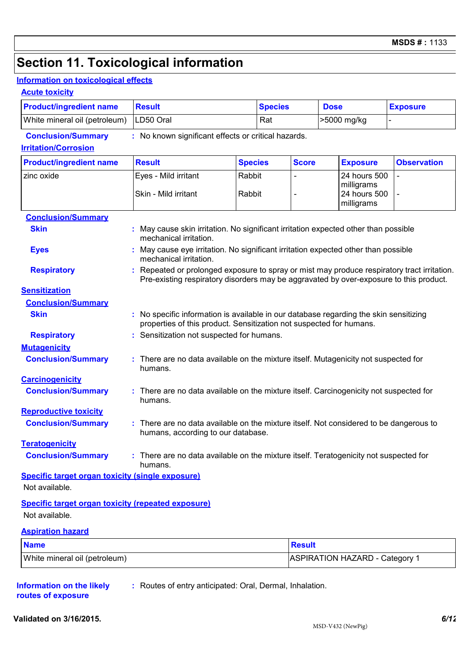# **Section 11. Toxicological information**

### **Information on toxicological effects**

#### **Acute toxicity**

| LD50 Oral<br>White mineral oil (petroleum)<br>>5000 mg/kg<br>Rat<br>$\overline{a}$<br><b>Conclusion/Summary</b><br>: No known significant effects or critical hazards.<br><b>Irritation/Corrosion</b><br><b>Result</b><br><b>Score</b><br><b>Observation</b><br><b>Product/ingredient name</b><br><b>Species</b><br><b>Exposure</b><br>Rabbit<br>Eyes - Mild irritant<br>24 hours 500<br>zinc oxide<br>milligrams<br>Skin - Mild irritant<br>Rabbit<br>24 hours 500<br>milligrams<br><b>Conclusion/Summary</b><br><b>Skin</b><br>May cause skin irritation. No significant irritation expected other than possible<br>mechanical irritation.<br>May cause eye irritation. No significant irritation expected other than possible<br><b>Eyes</b><br>mechanical irritation.<br><b>Respiratory</b><br>Pre-existing respiratory disorders may be aggravated by over-exposure to this product.<br><b>Sensitization</b><br><b>Conclusion/Summary</b><br><b>Skin</b><br>: No specific information is available in our database regarding the skin sensitizing<br>properties of this product. Sensitization not suspected for humans.<br>Sensitization not suspected for humans.<br><b>Respiratory</b><br><b>Mutagenicity</b><br><b>Conclusion/Summary</b><br>There are no data available on the mixture itself. Mutagenicity not suspected for<br>humans.<br><b>Carcinogenicity</b><br><b>Conclusion/Summary</b><br>There are no data available on the mixture itself. Carcinogenicity not suspected for<br>humans.<br><b>Reproductive toxicity</b><br><b>Conclusion/Summary</b><br>: There are no data available on the mixture itself. Not considered to be dangerous to<br>humans, according to our database.<br><b>Teratogenicity</b><br>There are no data available on the mixture itself. Teratogenicity not suspected for<br><b>Conclusion/Summary</b><br>humans.<br><b>Specific target organ toxicity (single exposure)</b><br>Not available.<br><b>Specific target organ toxicity (repeated exposure)</b><br>Not available.<br><b>Aspiration hazard</b><br><b>Name</b><br><b>Result</b><br><b>ASPIRATION HAZARD - Category 1</b><br>White mineral oil (petroleum) | <b>Product/ingredient name</b> | <b>Result</b> |  | <b>Species</b> | <b>Dose</b> |  | <b>Exposure</b> |
|---------------------------------------------------------------------------------------------------------------------------------------------------------------------------------------------------------------------------------------------------------------------------------------------------------------------------------------------------------------------------------------------------------------------------------------------------------------------------------------------------------------------------------------------------------------------------------------------------------------------------------------------------------------------------------------------------------------------------------------------------------------------------------------------------------------------------------------------------------------------------------------------------------------------------------------------------------------------------------------------------------------------------------------------------------------------------------------------------------------------------------------------------------------------------------------------------------------------------------------------------------------------------------------------------------------------------------------------------------------------------------------------------------------------------------------------------------------------------------------------------------------------------------------------------------------------------------------------------------------------------------------------------------------------------------------------------------------------------------------------------------------------------------------------------------------------------------------------------------------------------------------------------------------------------------------------------------------------------------------------------------------------------------------------------------------------------------------------------------------------------------------------------------------------|--------------------------------|---------------|--|----------------|-------------|--|-----------------|
| Repeated or prolonged exposure to spray or mist may produce respiratory tract irritation.                                                                                                                                                                                                                                                                                                                                                                                                                                                                                                                                                                                                                                                                                                                                                                                                                                                                                                                                                                                                                                                                                                                                                                                                                                                                                                                                                                                                                                                                                                                                                                                                                                                                                                                                                                                                                                                                                                                                                                                                                                                                           |                                |               |  |                |             |  |                 |
|                                                                                                                                                                                                                                                                                                                                                                                                                                                                                                                                                                                                                                                                                                                                                                                                                                                                                                                                                                                                                                                                                                                                                                                                                                                                                                                                                                                                                                                                                                                                                                                                                                                                                                                                                                                                                                                                                                                                                                                                                                                                                                                                                                     |                                |               |  |                |             |  |                 |
|                                                                                                                                                                                                                                                                                                                                                                                                                                                                                                                                                                                                                                                                                                                                                                                                                                                                                                                                                                                                                                                                                                                                                                                                                                                                                                                                                                                                                                                                                                                                                                                                                                                                                                                                                                                                                                                                                                                                                                                                                                                                                                                                                                     |                                |               |  |                |             |  |                 |
|                                                                                                                                                                                                                                                                                                                                                                                                                                                                                                                                                                                                                                                                                                                                                                                                                                                                                                                                                                                                                                                                                                                                                                                                                                                                                                                                                                                                                                                                                                                                                                                                                                                                                                                                                                                                                                                                                                                                                                                                                                                                                                                                                                     |                                |               |  |                |             |  |                 |
|                                                                                                                                                                                                                                                                                                                                                                                                                                                                                                                                                                                                                                                                                                                                                                                                                                                                                                                                                                                                                                                                                                                                                                                                                                                                                                                                                                                                                                                                                                                                                                                                                                                                                                                                                                                                                                                                                                                                                                                                                                                                                                                                                                     |                                |               |  |                |             |  |                 |
|                                                                                                                                                                                                                                                                                                                                                                                                                                                                                                                                                                                                                                                                                                                                                                                                                                                                                                                                                                                                                                                                                                                                                                                                                                                                                                                                                                                                                                                                                                                                                                                                                                                                                                                                                                                                                                                                                                                                                                                                                                                                                                                                                                     |                                |               |  |                |             |  |                 |
|                                                                                                                                                                                                                                                                                                                                                                                                                                                                                                                                                                                                                                                                                                                                                                                                                                                                                                                                                                                                                                                                                                                                                                                                                                                                                                                                                                                                                                                                                                                                                                                                                                                                                                                                                                                                                                                                                                                                                                                                                                                                                                                                                                     |                                |               |  |                |             |  |                 |
|                                                                                                                                                                                                                                                                                                                                                                                                                                                                                                                                                                                                                                                                                                                                                                                                                                                                                                                                                                                                                                                                                                                                                                                                                                                                                                                                                                                                                                                                                                                                                                                                                                                                                                                                                                                                                                                                                                                                                                                                                                                                                                                                                                     |                                |               |  |                |             |  |                 |
|                                                                                                                                                                                                                                                                                                                                                                                                                                                                                                                                                                                                                                                                                                                                                                                                                                                                                                                                                                                                                                                                                                                                                                                                                                                                                                                                                                                                                                                                                                                                                                                                                                                                                                                                                                                                                                                                                                                                                                                                                                                                                                                                                                     |                                |               |  |                |             |  |                 |
|                                                                                                                                                                                                                                                                                                                                                                                                                                                                                                                                                                                                                                                                                                                                                                                                                                                                                                                                                                                                                                                                                                                                                                                                                                                                                                                                                                                                                                                                                                                                                                                                                                                                                                                                                                                                                                                                                                                                                                                                                                                                                                                                                                     |                                |               |  |                |             |  |                 |
|                                                                                                                                                                                                                                                                                                                                                                                                                                                                                                                                                                                                                                                                                                                                                                                                                                                                                                                                                                                                                                                                                                                                                                                                                                                                                                                                                                                                                                                                                                                                                                                                                                                                                                                                                                                                                                                                                                                                                                                                                                                                                                                                                                     |                                |               |  |                |             |  |                 |
|                                                                                                                                                                                                                                                                                                                                                                                                                                                                                                                                                                                                                                                                                                                                                                                                                                                                                                                                                                                                                                                                                                                                                                                                                                                                                                                                                                                                                                                                                                                                                                                                                                                                                                                                                                                                                                                                                                                                                                                                                                                                                                                                                                     |                                |               |  |                |             |  |                 |
|                                                                                                                                                                                                                                                                                                                                                                                                                                                                                                                                                                                                                                                                                                                                                                                                                                                                                                                                                                                                                                                                                                                                                                                                                                                                                                                                                                                                                                                                                                                                                                                                                                                                                                                                                                                                                                                                                                                                                                                                                                                                                                                                                                     |                                |               |  |                |             |  |                 |
|                                                                                                                                                                                                                                                                                                                                                                                                                                                                                                                                                                                                                                                                                                                                                                                                                                                                                                                                                                                                                                                                                                                                                                                                                                                                                                                                                                                                                                                                                                                                                                                                                                                                                                                                                                                                                                                                                                                                                                                                                                                                                                                                                                     |                                |               |  |                |             |  |                 |
|                                                                                                                                                                                                                                                                                                                                                                                                                                                                                                                                                                                                                                                                                                                                                                                                                                                                                                                                                                                                                                                                                                                                                                                                                                                                                                                                                                                                                                                                                                                                                                                                                                                                                                                                                                                                                                                                                                                                                                                                                                                                                                                                                                     |                                |               |  |                |             |  |                 |
|                                                                                                                                                                                                                                                                                                                                                                                                                                                                                                                                                                                                                                                                                                                                                                                                                                                                                                                                                                                                                                                                                                                                                                                                                                                                                                                                                                                                                                                                                                                                                                                                                                                                                                                                                                                                                                                                                                                                                                                                                                                                                                                                                                     |                                |               |  |                |             |  |                 |
|                                                                                                                                                                                                                                                                                                                                                                                                                                                                                                                                                                                                                                                                                                                                                                                                                                                                                                                                                                                                                                                                                                                                                                                                                                                                                                                                                                                                                                                                                                                                                                                                                                                                                                                                                                                                                                                                                                                                                                                                                                                                                                                                                                     |                                |               |  |                |             |  |                 |
|                                                                                                                                                                                                                                                                                                                                                                                                                                                                                                                                                                                                                                                                                                                                                                                                                                                                                                                                                                                                                                                                                                                                                                                                                                                                                                                                                                                                                                                                                                                                                                                                                                                                                                                                                                                                                                                                                                                                                                                                                                                                                                                                                                     |                                |               |  |                |             |  |                 |
|                                                                                                                                                                                                                                                                                                                                                                                                                                                                                                                                                                                                                                                                                                                                                                                                                                                                                                                                                                                                                                                                                                                                                                                                                                                                                                                                                                                                                                                                                                                                                                                                                                                                                                                                                                                                                                                                                                                                                                                                                                                                                                                                                                     |                                |               |  |                |             |  |                 |
|                                                                                                                                                                                                                                                                                                                                                                                                                                                                                                                                                                                                                                                                                                                                                                                                                                                                                                                                                                                                                                                                                                                                                                                                                                                                                                                                                                                                                                                                                                                                                                                                                                                                                                                                                                                                                                                                                                                                                                                                                                                                                                                                                                     |                                |               |  |                |             |  |                 |
|                                                                                                                                                                                                                                                                                                                                                                                                                                                                                                                                                                                                                                                                                                                                                                                                                                                                                                                                                                                                                                                                                                                                                                                                                                                                                                                                                                                                                                                                                                                                                                                                                                                                                                                                                                                                                                                                                                                                                                                                                                                                                                                                                                     |                                |               |  |                |             |  |                 |
|                                                                                                                                                                                                                                                                                                                                                                                                                                                                                                                                                                                                                                                                                                                                                                                                                                                                                                                                                                                                                                                                                                                                                                                                                                                                                                                                                                                                                                                                                                                                                                                                                                                                                                                                                                                                                                                                                                                                                                                                                                                                                                                                                                     |                                |               |  |                |             |  |                 |
|                                                                                                                                                                                                                                                                                                                                                                                                                                                                                                                                                                                                                                                                                                                                                                                                                                                                                                                                                                                                                                                                                                                                                                                                                                                                                                                                                                                                                                                                                                                                                                                                                                                                                                                                                                                                                                                                                                                                                                                                                                                                                                                                                                     |                                |               |  |                |             |  |                 |
|                                                                                                                                                                                                                                                                                                                                                                                                                                                                                                                                                                                                                                                                                                                                                                                                                                                                                                                                                                                                                                                                                                                                                                                                                                                                                                                                                                                                                                                                                                                                                                                                                                                                                                                                                                                                                                                                                                                                                                                                                                                                                                                                                                     |                                |               |  |                |             |  |                 |
|                                                                                                                                                                                                                                                                                                                                                                                                                                                                                                                                                                                                                                                                                                                                                                                                                                                                                                                                                                                                                                                                                                                                                                                                                                                                                                                                                                                                                                                                                                                                                                                                                                                                                                                                                                                                                                                                                                                                                                                                                                                                                                                                                                     |                                |               |  |                |             |  |                 |
|                                                                                                                                                                                                                                                                                                                                                                                                                                                                                                                                                                                                                                                                                                                                                                                                                                                                                                                                                                                                                                                                                                                                                                                                                                                                                                                                                                                                                                                                                                                                                                                                                                                                                                                                                                                                                                                                                                                                                                                                                                                                                                                                                                     |                                |               |  |                |             |  |                 |
|                                                                                                                                                                                                                                                                                                                                                                                                                                                                                                                                                                                                                                                                                                                                                                                                                                                                                                                                                                                                                                                                                                                                                                                                                                                                                                                                                                                                                                                                                                                                                                                                                                                                                                                                                                                                                                                                                                                                                                                                                                                                                                                                                                     |                                |               |  |                |             |  |                 |

#### **Information on the likely routes of exposure :** Routes of entry anticipated: Oral, Dermal, Inhalation.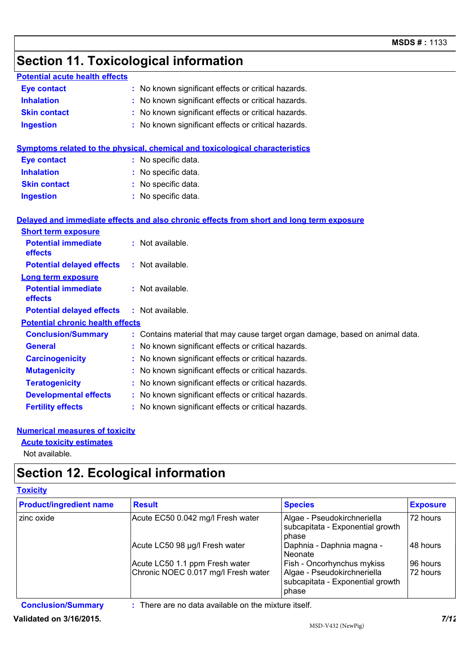# **Section 11. Toxicological information**

| <b>Potential acute health effects</b>   |                                                                                          |
|-----------------------------------------|------------------------------------------------------------------------------------------|
| <b>Eye contact</b>                      | : No known significant effects or critical hazards.                                      |
| <b>Inhalation</b>                       | No known significant effects or critical hazards.                                        |
| <b>Skin contact</b>                     | : No known significant effects or critical hazards.                                      |
| <b>Ingestion</b>                        | : No known significant effects or critical hazards.                                      |
|                                         | Symptoms related to the physical, chemical and toxicological characteristics             |
| <b>Eye contact</b>                      | : No specific data.                                                                      |
| <b>Inhalation</b>                       | : No specific data.                                                                      |
| <b>Skin contact</b>                     | : No specific data.                                                                      |
| <b>Ingestion</b>                        | : No specific data.                                                                      |
|                                         | Delayed and immediate effects and also chronic effects from short and long term exposure |
| <b>Short term exposure</b>              |                                                                                          |
| <b>Potential immediate</b><br>effects   | : Not available.                                                                         |
| <b>Potential delayed effects</b>        | : Not available.                                                                         |
| <b>Long term exposure</b>               |                                                                                          |
| <b>Potential immediate</b><br>effects   | : Not available.                                                                         |
| <b>Potential delayed effects</b>        | : Not available.                                                                         |
| <b>Potential chronic health effects</b> |                                                                                          |
| <b>Conclusion/Summary</b>               | : Contains material that may cause target organ damage, based on animal data.            |
| <b>General</b>                          | : No known significant effects or critical hazards.                                      |
| <b>Carcinogenicity</b>                  | : No known significant effects or critical hazards.                                      |
| <b>Mutagenicity</b>                     | : No known significant effects or critical hazards.                                      |
| <b>Teratogenicity</b>                   | : No known significant effects or critical hazards.                                      |
| <b>Developmental effects</b>            | : No known significant effects or critical hazards.                                      |
| <b>Fertility effects</b>                | : No known significant effects or critical hazards.                                      |
|                                         |                                                                                          |

#### **Numerical measures of toxicity**

#### **Acute toxicity estimates**

Not available.

## **Section 12. Ecological information**

#### **Toxicity**

| <b>Product/ingredient name</b> | <b>Result</b>                                                         | <b>Species</b>                                                                                                | <b>Exposure</b>      |
|--------------------------------|-----------------------------------------------------------------------|---------------------------------------------------------------------------------------------------------------|----------------------|
| zinc oxide                     | Acute EC50 0.042 mg/l Fresh water                                     | Algae - Pseudokirchneriella<br>subcapitata - Exponential growth<br>phase                                      | 72 hours             |
|                                | Acute LC50 98 µg/l Fresh water                                        | Daphnia - Daphnia magna -<br>l Neonate                                                                        | 48 hours             |
|                                | Acute LC50 1.1 ppm Fresh water<br>Chronic NOEC 0.017 mg/l Fresh water | <b>Fish - Oncorhynchus mykiss</b><br>Algae - Pseudokirchneriella<br>subcapitata - Exponential growth<br>phase | 96 hours<br>72 hours |

**Conclusion/Summary :** There are no data available on the mixture itself.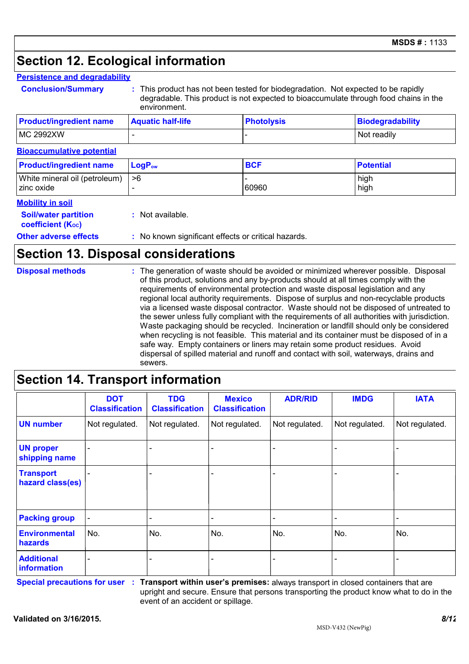## **Section 12. Ecological information**

#### **Persistence and degradability**

**Conclusion/Summary :** This product has not been tested for biodegradation. Not expected to be rapidly degradable. This product is not expected to bioaccumulate through food chains in the environment.

| <b>Product/ingredient name</b> | <b>Aquatic half-life</b> | <b>Photolysis</b> | Biodegradability |
|--------------------------------|--------------------------|-------------------|------------------|
| MC 2992XW                      |                          |                   | Not readily      |

#### **Bioaccumulative potential**

| <b>Product/ingredient name</b>                   | $LogPow$ | <b>BCF</b> | <b>Potential</b> |
|--------------------------------------------------|----------|------------|------------------|
| White mineral oil (petroleum)   >6<br>zinc oxide |          | 60960      | high<br>high     |
| Mobility in soil                                 |          |            |                  |

#### **Mobility in soil**

|                      |                        | <b>Soil/water partition</b> | : Not available.                   |  |
|----------------------|------------------------|-----------------------------|------------------------------------|--|
|                      | coefficient $(K_{oc})$ |                             |                                    |  |
| $\sim$ $\sim$ $\sim$ |                        |                             | $\sim$ $\sim$ $\sim$ $\sim$ $\sim$ |  |

#### **Other adverse effects** : No known significant effects or critical hazards.

### **Section 13. Disposal considerations**

| <b>Disposal methods</b> | : The generation of waste should be avoided or minimized wherever possible. Disposal<br>of this product, solutions and any by-products should at all times comply with the<br>requirements of environmental protection and waste disposal legislation and any<br>regional local authority requirements. Dispose of surplus and non-recyclable products<br>via a licensed waste disposal contractor. Waste should not be disposed of untreated to<br>the sewer unless fully compliant with the requirements of all authorities with jurisdiction.<br>Waste packaging should be recycled. Incineration or landfill should only be considered<br>when recycling is not feasible. This material and its container must be disposed of in a<br>safe way. Empty containers or liners may retain some product residues. Avoid<br>dispersal of spilled material and runoff and contact with soil, waterways, drains and<br>sewers. |
|-------------------------|----------------------------------------------------------------------------------------------------------------------------------------------------------------------------------------------------------------------------------------------------------------------------------------------------------------------------------------------------------------------------------------------------------------------------------------------------------------------------------------------------------------------------------------------------------------------------------------------------------------------------------------------------------------------------------------------------------------------------------------------------------------------------------------------------------------------------------------------------------------------------------------------------------------------------|
|-------------------------|----------------------------------------------------------------------------------------------------------------------------------------------------------------------------------------------------------------------------------------------------------------------------------------------------------------------------------------------------------------------------------------------------------------------------------------------------------------------------------------------------------------------------------------------------------------------------------------------------------------------------------------------------------------------------------------------------------------------------------------------------------------------------------------------------------------------------------------------------------------------------------------------------------------------------|

### **Section 14. Transport information**

|                                      | <b>DOT</b><br><b>Classification</b> | <b>TDG</b><br><b>Classification</b> | <b>Mexico</b><br><b>Classification</b> | <b>ADR/RID</b> | <b>IMDG</b>    | <b>IATA</b>    |
|--------------------------------------|-------------------------------------|-------------------------------------|----------------------------------------|----------------|----------------|----------------|
| <b>UN number</b>                     | Not regulated.                      | Not regulated.                      | Not regulated.                         | Not regulated. | Not regulated. | Not regulated. |
| <b>UN proper</b><br>shipping name    |                                     |                                     |                                        |                |                |                |
| <b>Transport</b><br>hazard class(es) |                                     |                                     |                                        |                |                |                |
| <b>Packing group</b>                 | $\blacksquare$                      | -                                   |                                        |                |                |                |
| <b>Environmental</b><br>hazards      | No.                                 | No.                                 | No.                                    | No.            | No.            | No.            |
| <b>Additional</b><br>information     |                                     |                                     |                                        |                |                |                |

**Special precautions for user Transport within user's premises:** always transport in closed containers that are **:** upright and secure. Ensure that persons transporting the product know what to do in the event of an accident or spillage.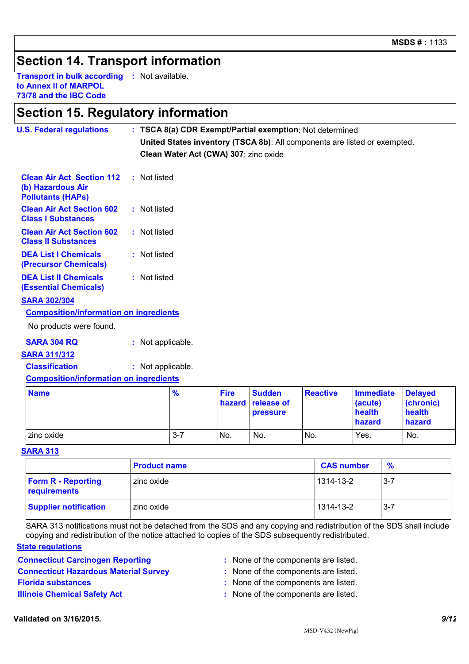### **Section 14. Transport information**

**Transport in bulk according :** Not available. **to Annex II of MARPOL 73/78 and the IBC Code**

### **Section 15. Regulatory information**

| <b>U.S. Federal regulations</b>                                                   |                   |                                       |             |               | : TSCA 8(a) CDR Exempt/Partial exemption: Not determined                  |                  |                |
|-----------------------------------------------------------------------------------|-------------------|---------------------------------------|-------------|---------------|---------------------------------------------------------------------------|------------------|----------------|
|                                                                                   |                   |                                       |             |               | United States inventory (TSCA 8b): All components are listed or exempted. |                  |                |
|                                                                                   |                   | Clean Water Act (CWA) 307: zinc oxide |             |               |                                                                           |                  |                |
| <b>Clean Air Act Section 112</b><br>(b) Hazardous Air<br><b>Pollutants (HAPS)</b> | : Not listed      |                                       |             |               |                                                                           |                  |                |
| <b>Clean Air Act Section 602</b><br><b>Class I Substances</b>                     | : Not listed      |                                       |             |               |                                                                           |                  |                |
| <b>Clean Air Act Section 602</b><br><b>Class II Substances</b>                    | : Not listed      |                                       |             |               |                                                                           |                  |                |
| <b>DEA List I Chemicals</b><br>(Precursor Chemicals)                              | : Not listed      |                                       |             |               |                                                                           |                  |                |
| <b>DEA List II Chemicals</b><br><b>(Essential Chemicals)</b>                      | : Not listed      |                                       |             |               |                                                                           |                  |                |
| <b>SARA 302/304</b>                                                               |                   |                                       |             |               |                                                                           |                  |                |
| <b>Composition/information on ingredients</b>                                     |                   |                                       |             |               |                                                                           |                  |                |
| No products were found.                                                           |                   |                                       |             |               |                                                                           |                  |                |
| <b>SARA 304 RQ</b>                                                                | : Not applicable. |                                       |             |               |                                                                           |                  |                |
| <b>SARA 311/312</b>                                                               |                   |                                       |             |               |                                                                           |                  |                |
| <b>Classification</b>                                                             | : Not applicable. |                                       |             |               |                                                                           |                  |                |
| <b>Composition/information on ingredients</b>                                     |                   |                                       |             |               |                                                                           |                  |                |
| <b>Name</b>                                                                       |                   | $\frac{9}{6}$                         | <b>Fire</b> | <b>Sudden</b> | <b>Reactive</b>                                                           | <b>Immediate</b> | <b>Delayed</b> |

| <b>Name</b> | $\frac{9}{6}$ | <b>Fire</b>     | <b>Sudden</b>     | <b>Reactive</b> | Immediate | <b>Delayed</b> |  |
|-------------|---------------|-----------------|-------------------|-----------------|-----------|----------------|--|
|             |               |                 | hazard release of |                 | (acute)   | (chronic)      |  |
|             |               |                 | <b>pressure</b>   |                 | health    | health         |  |
|             |               |                 |                   |                 | ∣ hazard  | hazard         |  |
| zinc oxide  | $3 - 7$       | IN <sub>o</sub> | No.               | No.             | Yes.      | No.            |  |

**SARA 313**

|                                           | <b>Product name</b> | <b>CAS number</b> | $\frac{9}{6}$ |
|-------------------------------------------|---------------------|-------------------|---------------|
| <b>Form R - Reporting</b><br>requirements | zinc oxide          | 1314-13-2         | $3 - 7$       |
| <b>Supplier notification</b>              | zinc oxide          | 1314-13-2         | $3 - 7$       |

SARA 313 notifications must not be detached from the SDS and any copying and redistribution of the SDS shall include copying and redistribution of the notice attached to copies of the SDS subsequently redistributed.

#### **State regulations**

**Connecticut Carcinogen Reporting <b>Example 2.** None of the components are listed.

- 
- **Connecticut Hazardous Material Survey :** None of the components are listed.
- **Florida substances :** None of the components are listed.
- **Illinois Chemical Safety Act :** None of the components are listed.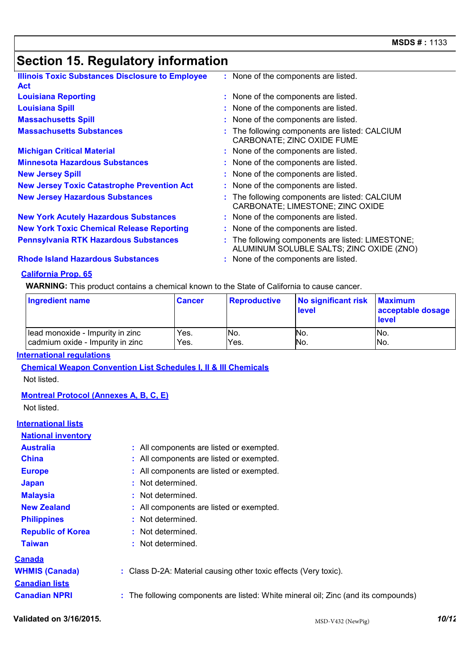# **Section 15. Regulatory information**

| <b>Illinois Toxic Substances Disclosure to Employee</b><br><b>Act</b> | : None of the components are listed.                                                          |
|-----------------------------------------------------------------------|-----------------------------------------------------------------------------------------------|
| <b>Louisiana Reporting</b>                                            | : None of the components are listed.                                                          |
| <b>Louisiana Spill</b>                                                | : None of the components are listed.                                                          |
| <b>Massachusetts Spill</b>                                            | : None of the components are listed.                                                          |
| <b>Massachusetts Substances</b>                                       | : The following components are listed: CALCIUM<br>CARBONATE; ZINC OXIDE FUME                  |
| <b>Michigan Critical Material</b>                                     | : None of the components are listed.                                                          |
| <b>Minnesota Hazardous Substances</b>                                 | : None of the components are listed.                                                          |
| <b>New Jersey Spill</b>                                               | : None of the components are listed.                                                          |
| <b>New Jersey Toxic Catastrophe Prevention Act</b>                    | : None of the components are listed.                                                          |
| <b>New Jersey Hazardous Substances</b>                                | : The following components are listed: CALCIUM<br>CARBONATE; LIMESTONE; ZINC OXIDE            |
| <b>New York Acutely Hazardous Substances</b>                          | : None of the components are listed.                                                          |
| <b>New York Toxic Chemical Release Reporting</b>                      | : None of the components are listed.                                                          |
| <b>Pennsylvania RTK Hazardous Substances</b>                          | : The following components are listed: LIMESTONE;<br>ALUMINUM SOLUBLE SALTS; ZINC OXIDE (ZNO) |

**Rhode Island Hazardous Substances :** None of the components are listed.

#### **California Prop. 65**

**WARNING:** This product contains a chemical known to the State of California to cause cancer.

| <b>Ingredient name</b>           | <b>Cancer</b> | <b>Reproductive</b> | No significant risk<br>level | <b>Maximum</b><br>acceptable dosage<br><b>level</b> |
|----------------------------------|---------------|---------------------|------------------------------|-----------------------------------------------------|
| Iead monoxide - Impurity in zinc | Yes.          | No.                 | No.                          | INo.                                                |
| cadmium oxide - Impurity in zinc | Yes.          | Yes.                | No.                          | No.                                                 |

#### **International regulations**

**Chemical Weapon Convention List Schedules I, II & III Chemicals**

Not listed.

**Montreal Protocol (Annexes A, B, C, E)**

Not listed.

#### **International lists**

| <b>National inventory</b> |                                                                                    |
|---------------------------|------------------------------------------------------------------------------------|
| <b>Australia</b>          | : All components are listed or exempted.                                           |
| <b>China</b>              | : All components are listed or exempted.                                           |
| <b>Europe</b>             | : All components are listed or exempted.                                           |
| <b>Japan</b>              | : Not determined.                                                                  |
| <b>Malaysia</b>           | : Not determined.                                                                  |
| <b>New Zealand</b>        | : All components are listed or exempted.                                           |
| <b>Philippines</b>        | : Not determined.                                                                  |
| <b>Republic of Korea</b>  | : Not determined.                                                                  |
| <b>Taiwan</b>             | : Not determined.                                                                  |
| <u>Canada</u>             |                                                                                    |
| <b>WHMIS (Canada)</b>     | : Class D-2A: Material causing other toxic effects (Very toxic).                   |
| <b>Canadian lists</b>     |                                                                                    |
| <b>Canadian NPRI</b>      | : The following components are listed: White mineral oil; Zinc (and its compounds) |
|                           |                                                                                    |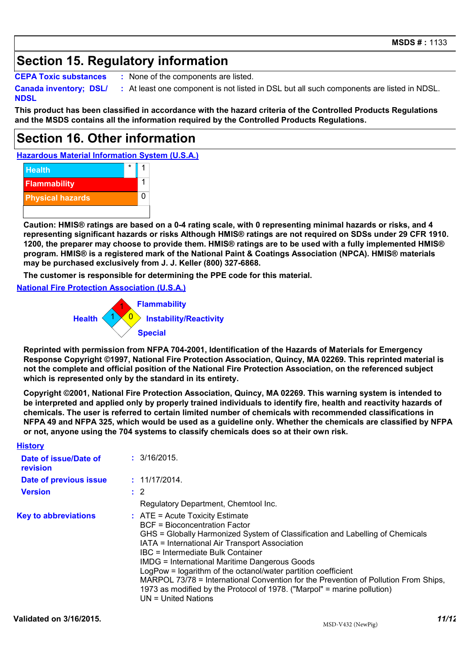### **Section 15. Regulatory information**

**CEPA Toxic substances :** None of the components are listed.

**Canada inventory; DSL/**

**NDSL :** At least one component is not listed in DSL but all such components are listed in NDSL.

**This product has been classified in accordance with the hazard criteria of the Controlled Products Regulations and the MSDS contains all the information required by the Controlled Products Regulations.**

### **Section 16. Other information**

**Hazardous Material Information System (U.S.A.)**



**Caution: HMIS® ratings are based on a 0-4 rating scale, with 0 representing minimal hazards or risks, and 4 representing significant hazards or risks Although HMIS® ratings are not required on SDSs under 29 CFR 1910. 1200, the preparer may choose to provide them. HMIS® ratings are to be used with a fully implemented HMIS® program. HMIS® is a registered mark of the National Paint & Coatings Association (NPCA). HMIS® materials may be purchased exclusively from J. J. Keller (800) 327-6868.**

**The customer is responsible for determining the PPE code for this material.**

**National Fire Protection Association (U.S.A.)**



**Reprinted with permission from NFPA 704-2001, Identification of the Hazards of Materials for Emergency Response Copyright ©1997, National Fire Protection Association, Quincy, MA 02269. This reprinted material is not the complete and official position of the National Fire Protection Association, on the referenced subject which is represented only by the standard in its entirety.**

**Copyright ©2001, National Fire Protection Association, Quincy, MA 02269. This warning system is intended to be interpreted and applied only by properly trained individuals to identify fire, health and reactivity hazards of chemicals. The user is referred to certain limited number of chemicals with recommended classifications in NFPA 49 and NFPA 325, which would be used as a guideline only. Whether the chemicals are classified by NFPA or not, anyone using the 704 systems to classify chemicals does so at their own risk.**

| <b>History</b>                    |                                                                                                                                                                                                                                                                                                                                                                                                                                                                                                                                                                       |
|-----------------------------------|-----------------------------------------------------------------------------------------------------------------------------------------------------------------------------------------------------------------------------------------------------------------------------------------------------------------------------------------------------------------------------------------------------------------------------------------------------------------------------------------------------------------------------------------------------------------------|
| Date of issue/Date of<br>revision | : 3/16/2015.                                                                                                                                                                                                                                                                                                                                                                                                                                                                                                                                                          |
| Date of previous issue            | : 11/17/2014.                                                                                                                                                                                                                                                                                                                                                                                                                                                                                                                                                         |
| <b>Version</b>                    | $\therefore$ 2                                                                                                                                                                                                                                                                                                                                                                                                                                                                                                                                                        |
|                                   | Regulatory Department, Chemtool Inc.                                                                                                                                                                                                                                                                                                                                                                                                                                                                                                                                  |
| <b>Key to abbreviations</b>       | $\therefore$ ATE = Acute Toxicity Estimate<br>BCF = Bioconcentration Factor<br>GHS = Globally Harmonized System of Classification and Labelling of Chemicals<br>IATA = International Air Transport Association<br>IBC = Intermediate Bulk Container<br><b>IMDG = International Maritime Dangerous Goods</b><br>LogPow = logarithm of the octanol/water partition coefficient<br>MARPOL 73/78 = International Convention for the Prevention of Pollution From Ships,<br>1973 as modified by the Protocol of 1978. ("Marpol" = marine pollution)<br>UN = United Nations |